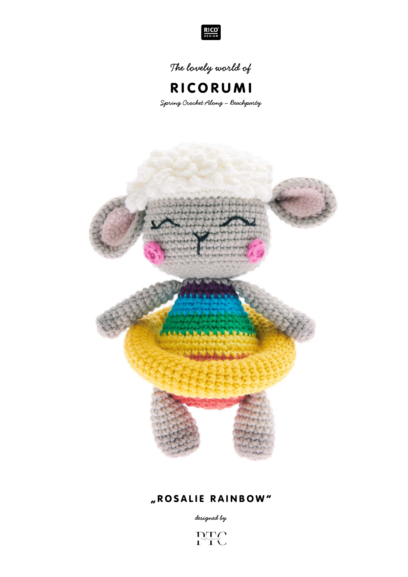

**The lovely world of**



**Spring Crochet Along – Beachparty**



# "ROSALIE RAINBOW"

**designed by**

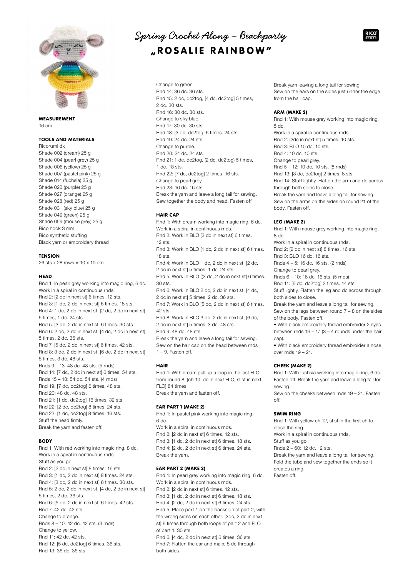

## MEASUREMENT 16 cm

# TOOLS AND MATERIALS

Ricorumi dk Shade 002 (cream) 25 g Shade 004 (pearl grey) 25 g Shade 006 (yellow) 25 g Shade 007 (pastel pink) 25 g Shade 014 (fuchsia) 25 g Shade 020 (purple) 25 g Shade 027 (orange) 25 g Shade 028 (red) 25 g Shade 031 (sky blue) 25 g Shade 049 (green) 25 g Shade 059 (mouse grey) 25 g Rico hook 3 mm Rico synthetic stuffing Black yarn or embroidery thread

### **TENSION**

26 sts x 28 rows = 10 x 10 cm

### **HEAD**

Rnd 1: In pearl grey working into magic ring, 6 dc. Work in a spiral in continuous rnds. Rnd 2: [2 dc in next st] 6 times. 12 sts. Rnd 3: [1 dc, 2 dc in next st] 6 times. 18 sts. Rnd 4: 1 dc, 2 dc in next st, [2 dc, 2 dc in next st] 5 times, 1 dc. 24 sts. Rnd 5: [3 dc, 2 dc in next st] 6 times. 30 sts Rnd 6: 2 dc, 2 dc in next st, [4 dc, 2 dc in next st] 5 times, 2 dc. 36 sts. Rnd 7: [5 dc, 2 dc in next st] 6 times. 42 sts. Rnd 8: 3 dc, 2 dc in next st, [6 dc, 2 dc in next st] 5 times, 3 dc. 48 sts. Rnds 9 – 13: 48 dc. 48 sts. (5 rnds) Rnd 14: [7 dc, 2 dc in next st] 6 times. 54 sts. Rnds 15 – 18: 54 dc. 54 sts. (4 rnds) Rnd 19: [7 dc, dc2tog] 6 times. 48 sts. Rnd 20: 48 dc. 48 sts. Rnd 21: [1 dc, dc2tog] 16 times. 32 sts. Rnd 22: [2 dc, dc2tog] 8 times. 24 sts. Rnd 23: [1 dc, dc2tog] 8 times. 16 sts. Stuff the head firmly.

Break the yarn and fasten off.

## **BODY**

Rnd 1: With red working into magic ring, 8 dc. Work in a spiral in continuous rnds. Stuff as you go. Rnd 2: [2 dc in next st] 8 times. 16 sts. Rnd 3: [1 dc, 2 dc in next st] 8 times. 24 sts. Rnd 4: [3 dc, 2 dc in next st] 6 times. 30 sts. Rnd 5: 2 dc, 2 dc in next st, [4 dc, 2 dc in next st] 5 times, 2 dc. 36 sts. Rnd 6: [5 dc, 2 dc in next st] 6 times. 42 sts. Rnd 7: 42 dc. 42 sts. Change to orange. Rnds 8 – 10: 42 dc. 42 sts. (3 rnds) Change to yellow. Rnd 11: 42 dc. 42 sts. Rnd 12: [5 dc, dc2tog] 6 times. 36 sts. Rnd 13: 36 dc. 36 sts.

# **Spring Crochet Along – Beachparty**  "ROSALIE RAINBOW"

Change to green. Rnd 14: 36 dc. 36 sts. Rnd 15: 2 dc, dc2tog, [4 dc, dc2tog] 5 times, 2 dc. 30 sts. Rnd 16: 30 dc. 30 sts. Change to sky blue. Rnd 17: 30 dc. 30 sts. Rnd 18: [3 dc, dc2tog] 6 times. 24 sts. Rnd 19: 24 dc. 24 sts. Change to purple. Rnd 20: 24 dc. 24 sts. Rnd 21: 1 dc, dc2tog, (2 dc, dc2tog) 5 times, 1 dc. 18 sts. Rnd 22: [7 dc, dc2tog] 2 times. 16 sts. Change to pearl grey. Rnd 23: 16 dc. 16 sts. Break the yarn and leave a long tail for sewing. Sew together the body and head. Fasten off.

## HAIR CAP

Rnd 1: With cream working into magic ring, 6 dc. Work in a spiral in continuous rnds. Rnd 2: Work in BLO [2 dc in next st] 6 times. 12 sts. Rnd 3: Work in BLO [1 dc, 2 dc in next st] 6 times. 18 sts. Rnd 4: Work in BLO 1 dc, 2 dc in next st, [2 dc, 2 dc in next st] 5 times, 1 dc. 24 sts. Rnd 5: Work in BLO [(3 dc, 2 dc in next st] 6 times. 30 sts. Rnd 6: Work in BLO 2 dc, 2 dc in next st, [4 dc, 2 dc in next st] 5 times, 2 dc. 36 sts. Rnd 7: Work in BLO [5 dc, 2 dc in next st] 6 times. 42 sts. Rnd 8: Work in BLO 3 dc, 2 dc in next st, [6 dc, 2 dc in next st] 5 times, 3 dc. 48 sts. Rnd 9: 48 dc. 48 sts. Break the yarn and leave a long tail for sewing. Sew on the hair cap on the head between rnds 1 – 9. Fasten off.

# HAIR

Rnd 1: With cream pull up a loop in the last FLO from round 8, [ch 10, dc in next FLO, sl st in next FLO] 84 times. Break the yarn and fasten off.

#### EAR PART 1 (MAKE 2)

Rnd 1: In pastel pink working into magic ring, 6 dc. Work in a spiral in continuous rnds. Rnd 2: [2 dc in next st] 6 times. 12 sts. Rnd 3: [1 dc, 2 dc in next st] 6 times. 18 sts. Rnd 4: [2 dc, 2 dc in next st] 6 times. 24 sts. Break the yarn.

## EAR PART 2 (MAKE 2)

Rnd 1: In pearl grey working into magic ring, 6 dc. Work in a spiral in continuous rnds. Rnd 2: [2 dc in next st] 6 times. 12 sts. Rnd 3: [1 dc, 2 dc in next st] 6 times. 18 sts. Rnd 4: [2 dc, 2 dc in next st] 6 times. 24 sts. Rnd 5: Place part 1 on the backside of part 2, with the wrong sides on each other. [3dc, 2 dc in next st] 6 times through both loops of part 2 and FLO of part 1. 30 sts. Rnd 6: [4 dc, 2 dc in next st] 6 times. 36 sts. Rnd 7: Flatten the ear and make 5 dc through both sides.

Break yarn leaving a long tail for sewing. Sew on the ears on the sides just under the edge from the hair cap.

## ARM (MAKE 2)

Rnd 1: With mouse grey working into magic ring, 5 dc. Work in a spiral in continuous rnds. Rnd 2: [2dc in next st] 5 times. 10 sts. Rnd 3: BLO 10 dc. 10 sts. Rnd 4: 10 dc. 10 sts. Change to pearl grey. Rnd 5 – 12: 10 dc. 10 sts. (8 rnds) Rnd 13: [3 dc, dc2tog] 2 times. 8 sts. Rnd 14: Stuff lightly. Flatten the arm and dc across through both sides to close. Break the yarn and leave a long tail for sewing. Sew on the arms on the sides on round 21 of the body. Fasten off.

# LEG (MAKE 2)

Rnd 1: With mouse grey working into magic ring, 8 dc. Work in a spiral in continuous rnds. Rnd 2: [2 dc in next st] 8 times. 16 sts. Rnd 3: BLO 16 dc. 16 sts. Rnds 4 – 5: 16 dc. 16 sts. (2 rnds) Change to pearl grey. Rnds 6 – 10: 16 dc. 16 sts. (5 rnds) Rnd 11: [6 dc, dc2tog] 2 times. 14 sts.

Stuff lightly. Flatten the leg and dc across through both sides to close.

Break the yarn and leave a long tail for sewing.

Sew on the legs between round 7 – 8 on the sides of the body. Fasten off.

• With black embroidery thread embroider 2 eyes between rnds  $16 - 17 (3 - 4$  rounds under the hair cap).

• With black embroidery thread embroider a nose over rnds 19 – 21.

# CHEEK (MAKE 2)

Rnd 1: With fuchsia working into magic ring, 6 dc. Fasten off. Break the yarn and leave a long tail for sewing.

Sew on the cheeks between rnds 19 – 21. Fasten off.

### SWIM RING

Rnd 1: With yellow ch 12, sl st in the first ch to close the ring. Work in a spiral in continuous rnds. Stuff as you go. Rnds 2 – 60: 12 dc. 12 sts. Break the yarn and leave a long tail for sewing. Fold the tube and sew together the ends so it creates a ring. Fasten off.